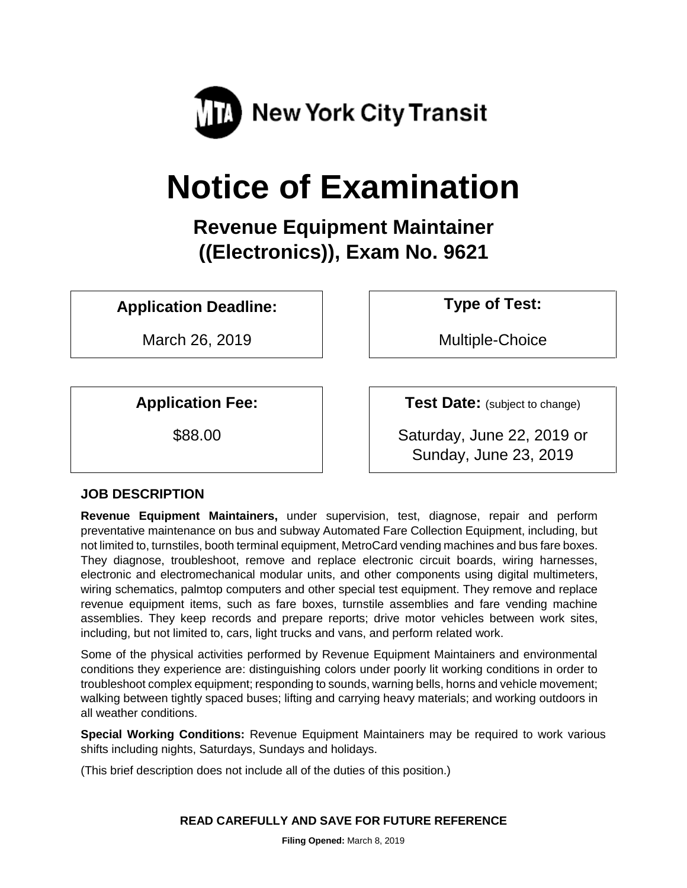

# **Notice of Examination**

**Revenue Equipment Maintainer ((Electronics)), Exam No. 9621**

**Application Deadline: Type of Test:** 

March 26, 2019 | Multiple-Choice

**Application Fee:**  $\vert$  **Test Date:** (subject to change)

\$88.00 Saturday, June 22, 2019 or Sunday, June 23, 2019

# **JOB DESCRIPTION**

**Revenue Equipment Maintainers,** under supervision, test, diagnose, repair and perform preventative maintenance on bus and subway Automated Fare Collection Equipment, including, but not limited to, turnstiles, booth terminal equipment, MetroCard vending machines and bus fare boxes. They diagnose, troubleshoot, remove and replace electronic circuit boards, wiring harnesses, electronic and electromechanical modular units, and other components using digital multimeters, wiring schematics, palmtop computers and other special test equipment. They remove and replace revenue equipment items, such as fare boxes, turnstile assemblies and fare vending machine assemblies. They keep records and prepare reports; drive motor vehicles between work sites, including, but not limited to, cars, light trucks and vans, and perform related work.

Some of the physical activities performed by Revenue Equipment Maintainers and environmental conditions they experience are: distinguishing colors under poorly lit working conditions in order to troubleshoot complex equipment; responding to sounds, warning bells, horns and vehicle movement; walking between tightly spaced buses; lifting and carrying heavy materials; and working outdoors in all weather conditions.

**Special Working Conditions:** Revenue Equipment Maintainers may be required to work various shifts including nights, Saturdays, Sundays and holidays.

(This brief description does not include all of the duties of this position.)

#### **READ CAREFULLY AND SAVE FOR FUTURE REFERENCE**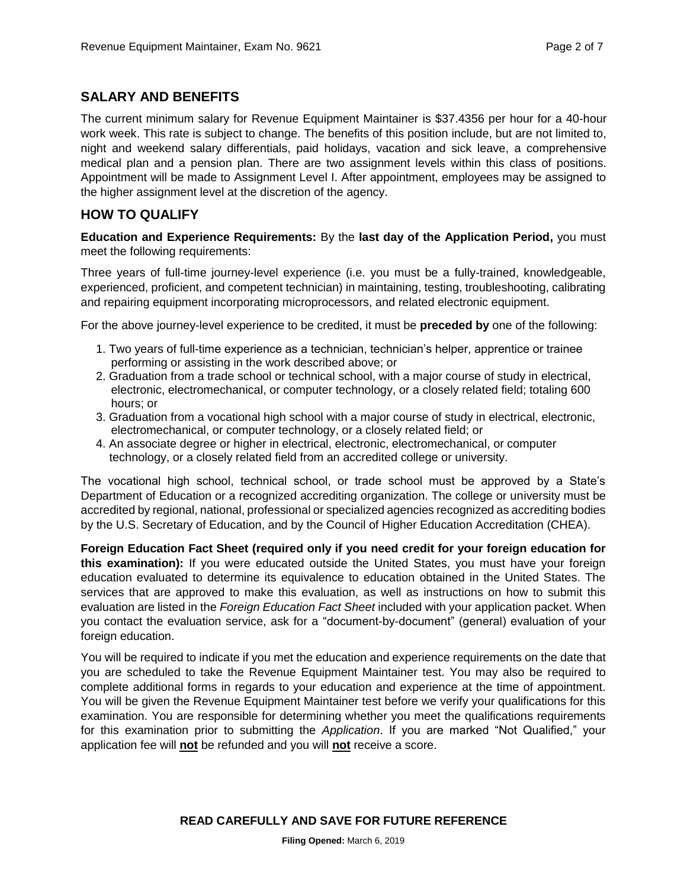## **SALARY AND BENEFITS**

The current minimum salary for Revenue Equipment Maintainer is \$37.4356 per hour for a 40-hour work week. This rate is subject to change. The benefits of this position include, but are not limited to, night and weekend salary differentials, paid holidays, vacation and sick leave, a comprehensive medical plan and a pension plan. There are two assignment levels within this class of positions. Appointment will be made to Assignment Level I. After appointment, employees may be assigned to the higher assignment level at the discretion of the agency.

## **HOW TO QUALIFY**

**Education and Experience Requirements:** By the **last day of the Application Period,** you must meet the following requirements:

Three years of full-time journey-level experience (i.e. you must be a fully-trained, knowledgeable, experienced, proficient, and competent technician) in maintaining, testing, troubleshooting, calibrating and repairing equipment incorporating microprocessors, and related electronic equipment.

For the above journey-level experience to be credited, it must be **preceded by** one of the following:

- 1. Two years of full-time experience as a technician, technician's helper, apprentice or trainee performing or assisting in the work described above; or
- 2. Graduation from a trade school or technical school, with a major course of study in electrical, electronic, electromechanical, or computer technology, or a closely related field; totaling 600 hours; or
- 3. Graduation from a vocational high school with a major course of study in electrical, electronic, electromechanical, or computer technology, or a closely related field; or
- 4. An associate degree or higher in electrical, electronic, electromechanical, or computer technology, or a closely related field from an accredited college or university.

The vocational high school, technical school, or trade school must be approved by a State's Department of Education or a recognized accrediting organization. The college or university must be accredited by regional, national, professional or specialized agencies recognized as accrediting bodies by the U.S. Secretary of Education, and by the Council of Higher Education Accreditation (CHEA).

**Foreign Education Fact Sheet (required only if you need credit for your foreign education for this examination):** If you were educated outside the United States, you must have your foreign education evaluated to determine its equivalence to education obtained in the United States. The services that are approved to make this evaluation, as well as instructions on how to submit this evaluation are listed in the *Foreign Education Fact Sheet* included with your application packet. When you contact the evaluation service, ask for a "document-by-document" (general) evaluation of your foreign education.

You will be required to indicate if you met the education and experience requirements on the date that you are scheduled to take the Revenue Equipment Maintainer test. You may also be required to complete additional forms in regards to your education and experience at the time of appointment. You will be given the Revenue Equipment Maintainer test before we verify your qualifications for this examination. You are responsible for determining whether you meet the qualifications requirements for this examination prior to submitting the *Application*. If you are marked "Not Qualified," your application fee will **not** be refunded and you will **not** receive a score.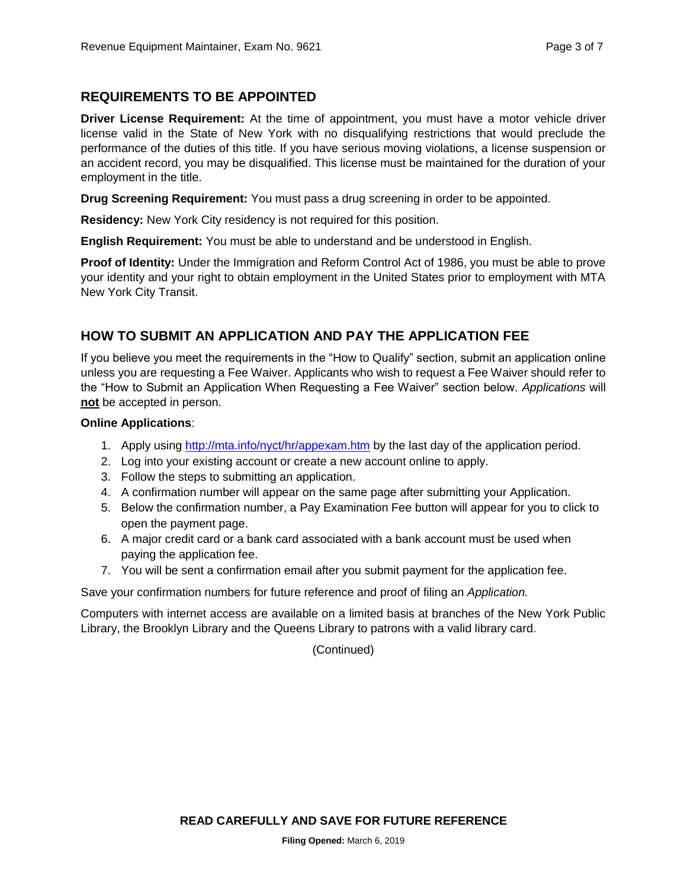## **REQUIREMENTS TO BE APPOINTED**

**Driver License Requirement:** At the time of appointment, you must have a motor vehicle driver license valid in the State of New York with no disqualifying restrictions that would preclude the performance of the duties of this title. If you have serious moving violations, a license suspension or an accident record, you may be disqualified. This license must be maintained for the duration of your employment in the title.

**Drug Screening Requirement:** You must pass a drug screening in order to be appointed.

**Residency:** New York City residency is not required for this position.

**English Requirement:** You must be able to understand and be understood in English.

**Proof of Identity:** Under the Immigration and Reform Control Act of 1986, you must be able to prove your identity and your right to obtain employment in the United States prior to employment with MTA New York City Transit.

# **HOW TO SUBMIT AN APPLICATION AND PAY THE APPLICATION FEE**

If you believe you meet the requirements in the "How to Qualify" section, submit an application online unless you are requesting a Fee Waiver. Applicants who wish to request a Fee Waiver should refer to the "How to Submit an Application When Requesting a Fee Waiver" section below. *Applications* will **not** be accepted in person.

#### **Online Applications**:

- 1. Apply using<http://mta.info/nyct/hr/appexam.htm> by the last day of the application period.
- 2. Log into your existing account or create a new account online to apply.
- 3. Follow the steps to submitting an application.
- 4. A confirmation number will appear on the same page after submitting your Application.
- 5. Below the confirmation number, a Pay Examination Fee button will appear for you to click to open the payment page.
- 6. A major credit card or a bank card associated with a bank account must be used when paying the application fee.
- 7. You will be sent a confirmation email after you submit payment for the application fee.

Save your confirmation numbers for future reference and proof of filing an *Application.*

Computers with internet access are available on a limited basis at branches of the New York Public Library, the Brooklyn Library and the Queens Library to patrons with a valid library card.

(Continued)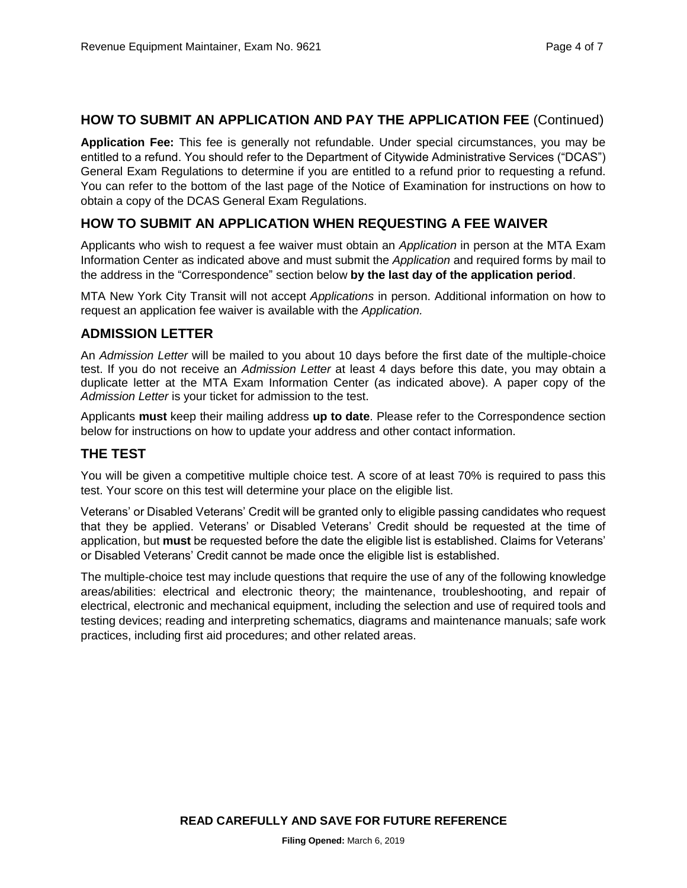#### **HOW TO SUBMIT AN APPLICATION AND PAY THE APPLICATION FEE** (Continued)

**Application Fee:** This fee is generally not refundable. Under special circumstances, you may be entitled to a refund. You should refer to the Department of Citywide Administrative Services ("DCAS") General Exam Regulations to determine if you are entitled to a refund prior to requesting a refund. You can refer to the bottom of the last page of the Notice of Examination for instructions on how to obtain a copy of the DCAS General Exam Regulations.

### **HOW TO SUBMIT AN APPLICATION WHEN REQUESTING A FEE WAIVER**

Applicants who wish to request a fee waiver must obtain an *Application* in person at the MTA Exam Information Center as indicated above and must submit the *Application* and required forms by mail to the address in the "Correspondence" section below **by the last day of the application period**.

MTA New York City Transit will not accept *Applications* in person. Additional information on how to request an application fee waiver is available with the *Application.*

#### **ADMISSION LETTER**

An *Admission Letter* will be mailed to you about 10 days before the first date of the multiple-choice test. If you do not receive an *Admission Letter* at least 4 days before this date, you may obtain a duplicate letter at the MTA Exam Information Center (as indicated above). A paper copy of the *Admission Letter* is your ticket for admission to the test.

Applicants **must** keep their mailing address **up to date**. Please refer to the Correspondence section below for instructions on how to update your address and other contact information.

#### **THE TEST**

You will be given a competitive multiple choice test. A score of at least 70% is required to pass this test. Your score on this test will determine your place on the eligible list.

Veterans' or Disabled Veterans' Credit will be granted only to eligible passing candidates who request that they be applied. Veterans' or Disabled Veterans' Credit should be requested at the time of application, but **must** be requested before the date the eligible list is established. Claims for Veterans' or Disabled Veterans' Credit cannot be made once the eligible list is established.

The multiple-choice test may include questions that require the use of any of the following knowledge areas/abilities: electrical and electronic theory; the maintenance, troubleshooting, and repair of electrical, electronic and mechanical equipment, including the selection and use of required tools and testing devices; reading and interpreting schematics, diagrams and maintenance manuals; safe work practices, including first aid procedures; and other related areas.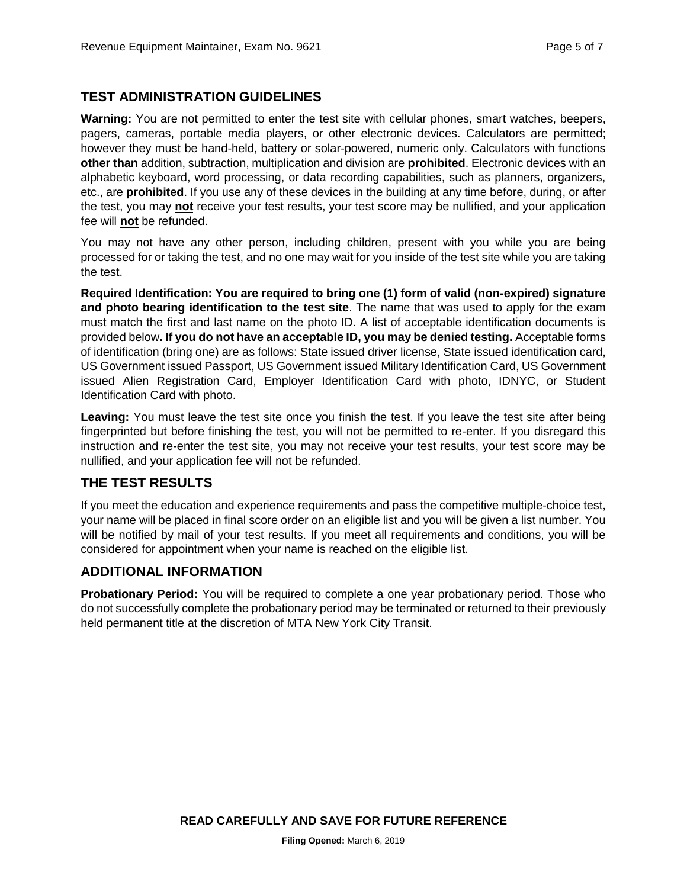# **TEST ADMINISTRATION GUIDELINES**

**Warning:** You are not permitted to enter the test site with cellular phones, smart watches, beepers, pagers, cameras, portable media players, or other electronic devices. Calculators are permitted; however they must be hand-held, battery or solar-powered, numeric only. Calculators with functions **other than** addition, subtraction, multiplication and division are **prohibited**. Electronic devices with an alphabetic keyboard, word processing, or data recording capabilities, such as planners, organizers, etc., are **prohibited**. If you use any of these devices in the building at any time before, during, or after the test, you may **not** receive your test results, your test score may be nullified, and your application fee will **not** be refunded.

You may not have any other person, including children, present with you while you are being processed for or taking the test, and no one may wait for you inside of the test site while you are taking the test.

**Required Identification: You are required to bring one (1) form of valid (non-expired) signature and photo bearing identification to the test site**. The name that was used to apply for the exam must match the first and last name on the photo ID. A list of acceptable identification documents is provided below**. If you do not have an acceptable ID, you may be denied testing.** Acceptable forms of identification (bring one) are as follows: State issued driver license, State issued identification card, US Government issued Passport, US Government issued Military Identification Card, US Government issued Alien Registration Card, Employer Identification Card with photo, IDNYC, or Student Identification Card with photo.

**Leaving:** You must leave the test site once you finish the test. If you leave the test site after being fingerprinted but before finishing the test, you will not be permitted to re-enter. If you disregard this instruction and re-enter the test site, you may not receive your test results, your test score may be nullified, and your application fee will not be refunded.

## **THE TEST RESULTS**

If you meet the education and experience requirements and pass the competitive multiple-choice test, your name will be placed in final score order on an eligible list and you will be given a list number. You will be notified by mail of your test results. If you meet all requirements and conditions, you will be considered for appointment when your name is reached on the eligible list.

## **ADDITIONAL INFORMATION**

**Probationary Period:** You will be required to complete a one year probationary period. Those who do not successfully complete the probationary period may be terminated or returned to their previously held permanent title at the discretion of MTA New York City Transit.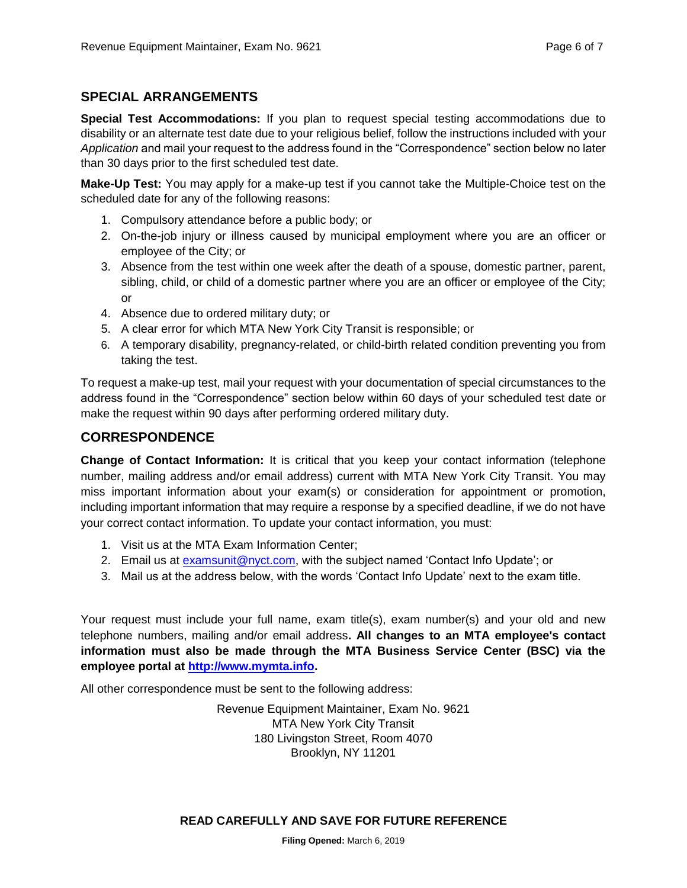## **SPECIAL ARRANGEMENTS**

**Special Test Accommodations:** If you plan to request special testing accommodations due to disability or an alternate test date due to your religious belief, follow the instructions included with your *Application* and mail your request to the address found in the "Correspondence" section below no later than 30 days prior to the first scheduled test date.

**Make-Up Test:** You may apply for a make-up test if you cannot take the Multiple-Choice test on the scheduled date for any of the following reasons:

- 1. Compulsory attendance before a public body; or
- 2. On-the-job injury or illness caused by municipal employment where you are an officer or employee of the City; or
- 3. Absence from the test within one week after the death of a spouse, domestic partner, parent, sibling, child, or child of a domestic partner where you are an officer or employee of the City; or
- 4. Absence due to ordered military duty; or
- 5. A clear error for which MTA New York City Transit is responsible; or
- 6. A temporary disability, pregnancy-related, or child-birth related condition preventing you from taking the test.

To request a make-up test, mail your request with your documentation of special circumstances to the address found in the "Correspondence" section below within 60 days of your scheduled test date or make the request within 90 days after performing ordered military duty.

#### **CORRESPONDENCE**

**Change of Contact Information:** It is critical that you keep your contact information (telephone number, mailing address and/or email address) current with MTA New York City Transit. You may miss important information about your exam(s) or consideration for appointment or promotion, including important information that may require a response by a specified deadline, if we do not have your correct contact information. To update your contact information, you must:

- 1. Visit us at the MTA Exam Information Center;
- 2. Email us at [examsunit@nyct.com,](mailto:examsunit@nyct.com) with the subject named 'Contact Info Update'; or
- 3. Mail us at the address below, with the words 'Contact Info Update' next to the exam title.

Your request must include your full name, exam title(s), exam number(s) and your old and new telephone numbers, mailing and/or email address**. All changes to an MTA employee's contact information must also be made through the MTA Business Service Center (BSC) via the employee portal at [http://www.mymta.info.](http://www.mymta.info/)** 

All other correspondence must be sent to the following address:

Revenue Equipment Maintainer, Exam No. 9621 MTA New York City Transit 180 Livingston Street, Room 4070 Brooklyn, NY 11201

#### **READ CAREFULLY AND SAVE FOR FUTURE REFERENCE**

**Filing Opened:** March 6, 2019